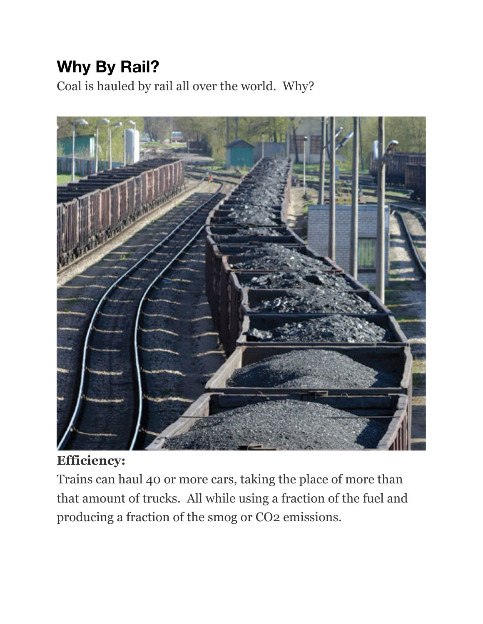## **Why By Rail?**

Coal is hauled by rail all over the world. Why?



## **Efficiency:**

Trains can haul 40 or more cars, taking the place of more than that amount of trucks. All while using a fraction of the fuel and producing a fraction of the smog or CO2 emissions.